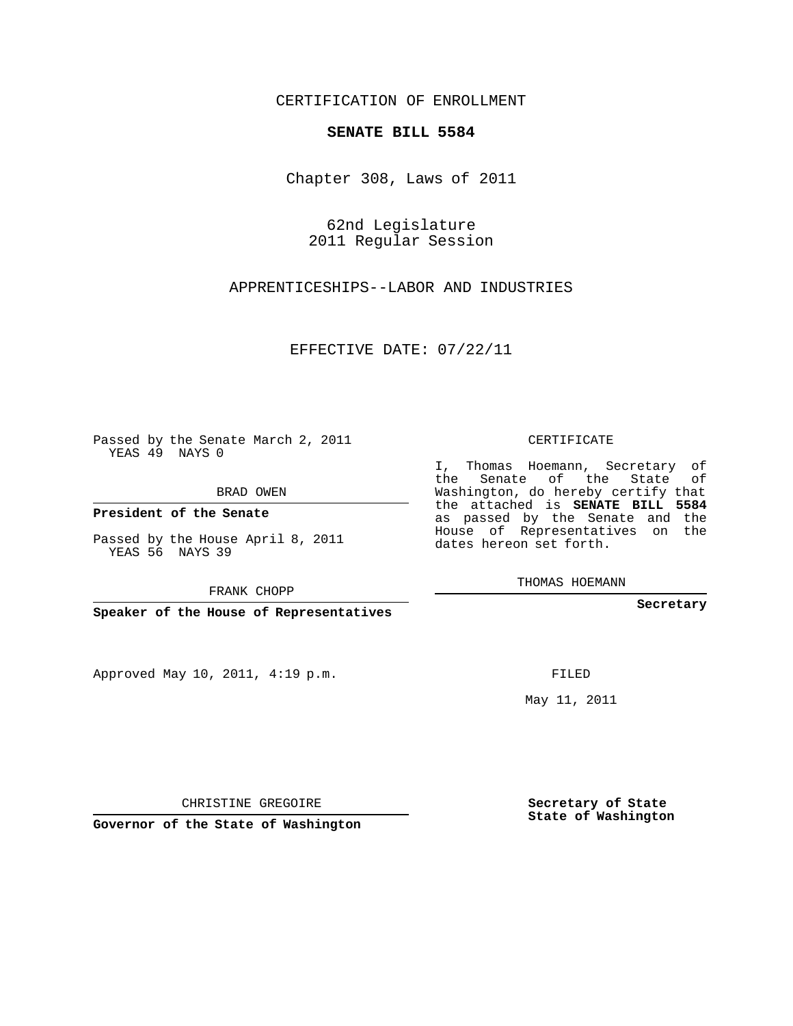## CERTIFICATION OF ENROLLMENT

## **SENATE BILL 5584**

Chapter 308, Laws of 2011

62nd Legislature 2011 Regular Session

APPRENTICESHIPS--LABOR AND INDUSTRIES

EFFECTIVE DATE: 07/22/11

Passed by the Senate March 2, 2011 YEAS 49 NAYS 0

BRAD OWEN

**President of the Senate**

Passed by the House April 8, 2011 YEAS 56 NAYS 39

FRANK CHOPP

**Speaker of the House of Representatives**

Approved May 10, 2011, 4:19 p.m.

CERTIFICATE

I, Thomas Hoemann, Secretary of the Senate of the State of Washington, do hereby certify that the attached is **SENATE BILL 5584** as passed by the Senate and the House of Representatives on the dates hereon set forth.

THOMAS HOEMANN

**Secretary**

FILED

May 11, 2011

CHRISTINE GREGOIRE

**Governor of the State of Washington**

**Secretary of State State of Washington**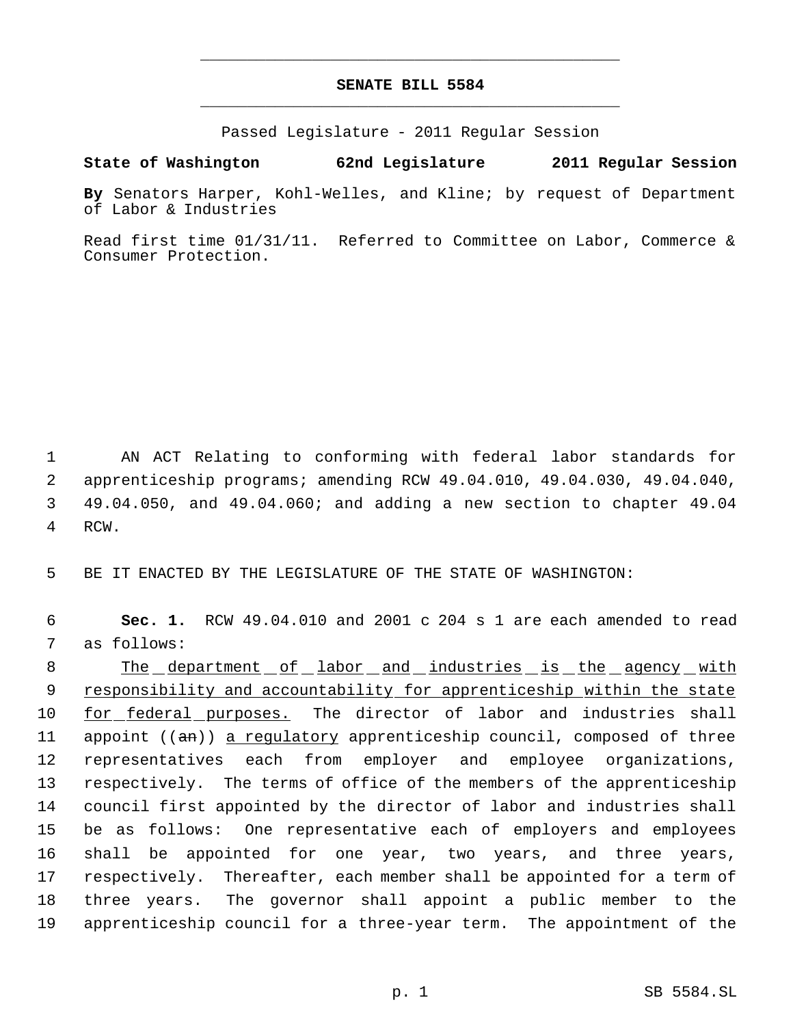## **SENATE BILL 5584** \_\_\_\_\_\_\_\_\_\_\_\_\_\_\_\_\_\_\_\_\_\_\_\_\_\_\_\_\_\_\_\_\_\_\_\_\_\_\_\_\_\_\_\_\_

\_\_\_\_\_\_\_\_\_\_\_\_\_\_\_\_\_\_\_\_\_\_\_\_\_\_\_\_\_\_\_\_\_\_\_\_\_\_\_\_\_\_\_\_\_

Passed Legislature - 2011 Regular Session

**State of Washington 62nd Legislature 2011 Regular Session**

**By** Senators Harper, Kohl-Welles, and Kline; by request of Department of Labor & Industries

Read first time 01/31/11. Referred to Committee on Labor, Commerce & Consumer Protection.

 AN ACT Relating to conforming with federal labor standards for apprenticeship programs; amending RCW 49.04.010, 49.04.030, 49.04.040, 49.04.050, and 49.04.060; and adding a new section to chapter 49.04 4 RCW.

5 BE IT ENACTED BY THE LEGISLATURE OF THE STATE OF WASHINGTON:

 6 **Sec. 1.** RCW 49.04.010 and 2001 c 204 s 1 are each amended to read 7 as follows:

8 The department of labor and industries is the agency with 9 responsibility and accountability for apprenticeship within the state for federal purposes. The director of labor and industries shall 11 appoint ((an)) a regulatory apprenticeship council, composed of three representatives each from employer and employee organizations, respectively. The terms of office of the members of the apprenticeship council first appointed by the director of labor and industries shall be as follows: One representative each of employers and employees shall be appointed for one year, two years, and three years, respectively. Thereafter, each member shall be appointed for a term of three years. The governor shall appoint a public member to the apprenticeship council for a three-year term. The appointment of the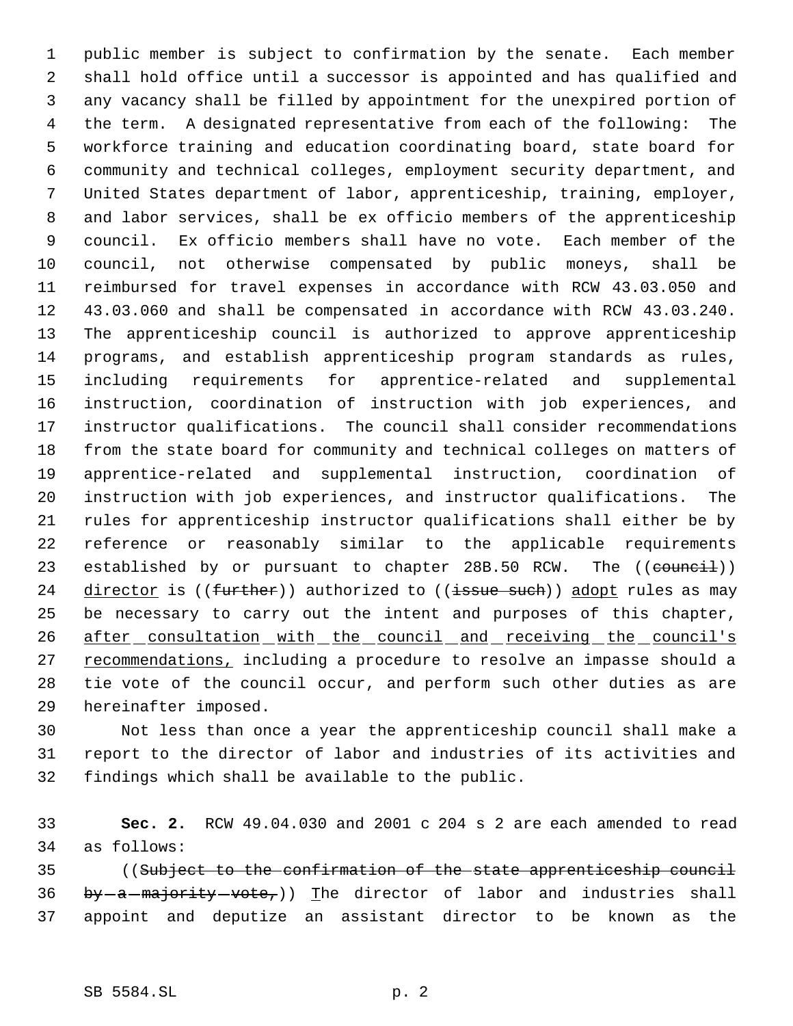public member is subject to confirmation by the senate. Each member shall hold office until a successor is appointed and has qualified and any vacancy shall be filled by appointment for the unexpired portion of the term. A designated representative from each of the following: The workforce training and education coordinating board, state board for community and technical colleges, employment security department, and United States department of labor, apprenticeship, training, employer, and labor services, shall be ex officio members of the apprenticeship council. Ex officio members shall have no vote. Each member of the council, not otherwise compensated by public moneys, shall be reimbursed for travel expenses in accordance with RCW 43.03.050 and 43.03.060 and shall be compensated in accordance with RCW 43.03.240. The apprenticeship council is authorized to approve apprenticeship programs, and establish apprenticeship program standards as rules, including requirements for apprentice-related and supplemental instruction, coordination of instruction with job experiences, and instructor qualifications. The council shall consider recommendations from the state board for community and technical colleges on matters of apprentice-related and supplemental instruction, coordination of instruction with job experiences, and instructor qualifications. The rules for apprenticeship instructor qualifications shall either be by reference or reasonably similar to the applicable requirements 23 established by or pursuant to chapter 28B.50 RCW. The ((council)) 24 director is ((further)) authorized to ((issue such)) adopt rules as may be necessary to carry out the intent and purposes of this chapter, 26 after consultation with the council and receiving the council's 27 recommendations, including a procedure to resolve an impasse should a tie vote of the council occur, and perform such other duties as are hereinafter imposed.

 Not less than once a year the apprenticeship council shall make a report to the director of labor and industries of its activities and findings which shall be available to the public.

 **Sec. 2.** RCW 49.04.030 and 2001 c 204 s 2 are each amended to read as follows:

 ((Subject to the confirmation of the state apprenticeship council 36 by  $-a$  -majority vote,)) The director of labor and industries shall appoint and deputize an assistant director to be known as the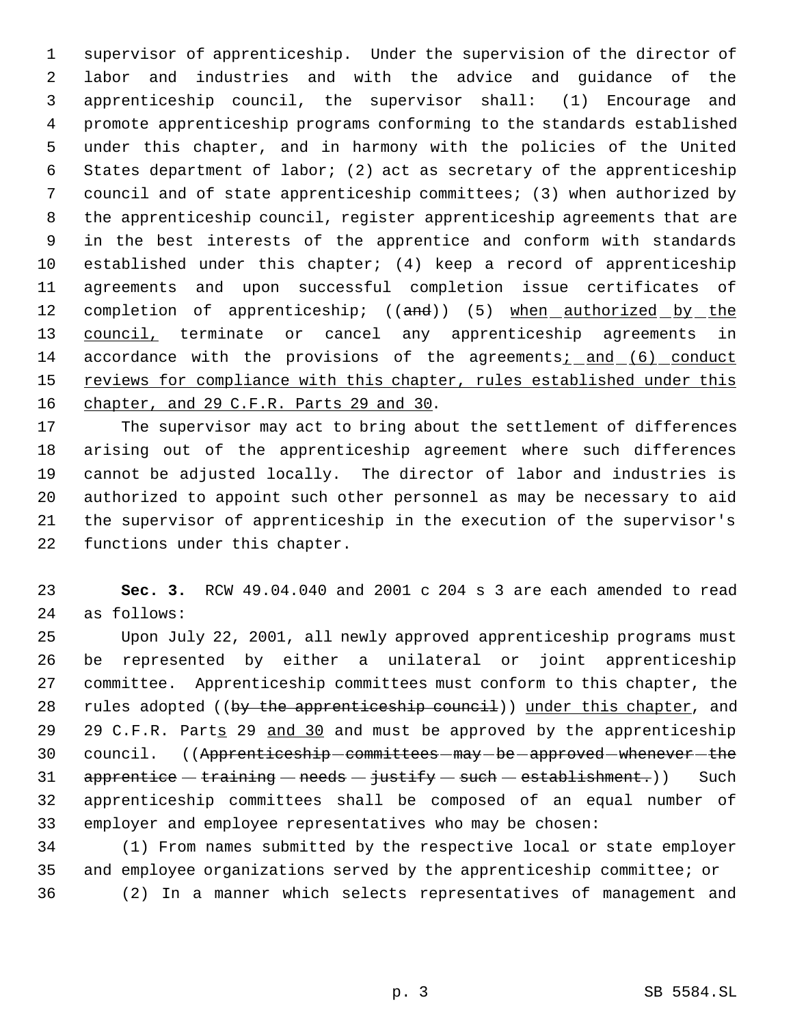supervisor of apprenticeship. Under the supervision of the director of labor and industries and with the advice and guidance of the apprenticeship council, the supervisor shall: (1) Encourage and promote apprenticeship programs conforming to the standards established under this chapter, and in harmony with the policies of the United States department of labor; (2) act as secretary of the apprenticeship council and of state apprenticeship committees; (3) when authorized by the apprenticeship council, register apprenticeship agreements that are in the best interests of the apprentice and conform with standards established under this chapter; (4) keep a record of apprenticeship agreements and upon successful completion issue certificates of 12 completion of apprenticeship; ((and)) (5) when authorized by the 13 council, terminate or cancel any apprenticeship agreements in accordance with the provisions of the agreements; and (6) conduct 15 reviews for compliance with this chapter, rules established under this 16 chapter, and 29 C.F.R. Parts 29 and 30.

 The supervisor may act to bring about the settlement of differences arising out of the apprenticeship agreement where such differences cannot be adjusted locally. The director of labor and industries is authorized to appoint such other personnel as may be necessary to aid the supervisor of apprenticeship in the execution of the supervisor's functions under this chapter.

 **Sec. 3.** RCW 49.04.040 and 2001 c 204 s 3 are each amended to read as follows:

 Upon July 22, 2001, all newly approved apprenticeship programs must be represented by either a unilateral or joint apprenticeship committee. Apprenticeship committees must conform to this chapter, the 28 rules adopted ((by the apprenticeship council)) under this chapter, and 29 29 C.F.R. Parts 29 and 30 and must be approved by the apprenticeship 30 council. ((Apprenticeship committees  $max$  be approved whenever the  $apprentice - training - needs - justify - such - establishment.)$  Such apprenticeship committees shall be composed of an equal number of employer and employee representatives who may be chosen:

 (1) From names submitted by the respective local or state employer and employee organizations served by the apprenticeship committee; or (2) In a manner which selects representatives of management and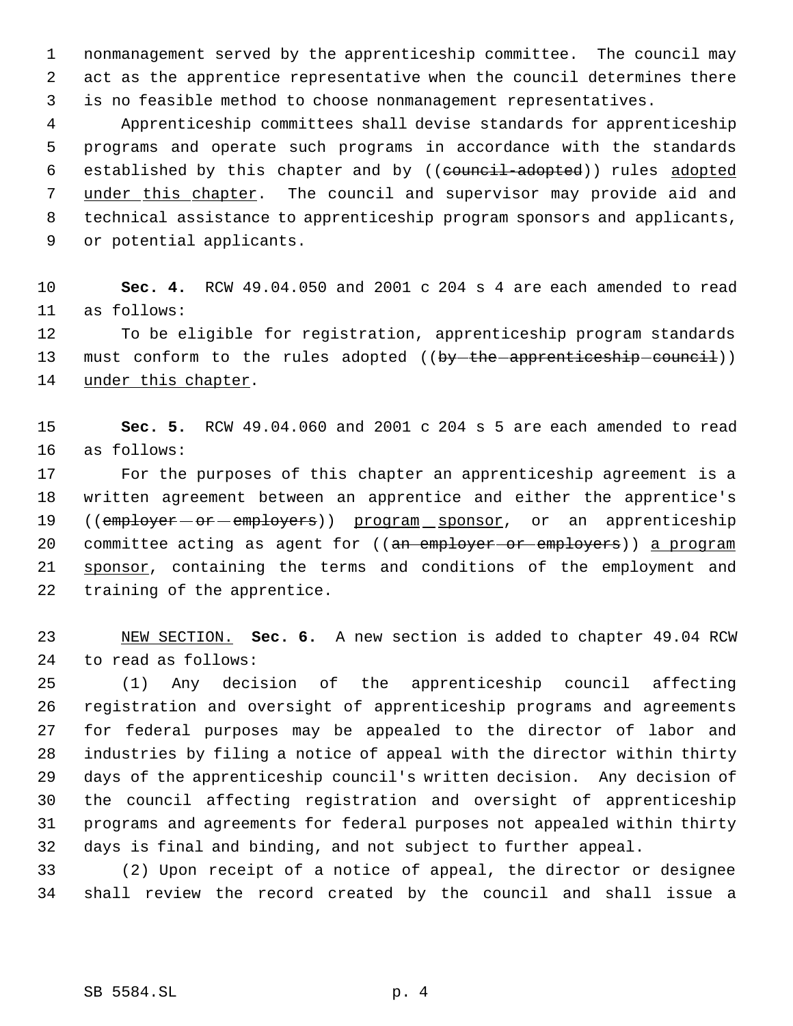nonmanagement served by the apprenticeship committee. The council may act as the apprentice representative when the council determines there is no feasible method to choose nonmanagement representatives.

 Apprenticeship committees shall devise standards for apprenticeship programs and operate such programs in accordance with the standards 6 established by this chapter and by ((council-adopted)) rules adopted 7 under this chapter. The council and supervisor may provide aid and technical assistance to apprenticeship program sponsors and applicants, or potential applicants.

 **Sec. 4.** RCW 49.04.050 and 2001 c 204 s 4 are each amended to read as follows:

 To be eligible for registration, apprenticeship program standards 13 must conform to the rules adopted ((by-the-apprenticeship-council)) 14 under this chapter.

 **Sec. 5.** RCW 49.04.060 and 2001 c 204 s 5 are each amended to read as follows:

 For the purposes of this chapter an apprenticeship agreement is a written agreement between an apprentice and either the apprentice's 19 ((employer - or - employers)) program sponsor, or an apprenticeship 20 committee acting as agent for ((an employer or employers)) a program 21 sponsor, containing the terms and conditions of the employment and training of the apprentice.

 NEW SECTION. **Sec. 6.** A new section is added to chapter 49.04 RCW to read as follows:

 (1) Any decision of the apprenticeship council affecting registration and oversight of apprenticeship programs and agreements for federal purposes may be appealed to the director of labor and industries by filing a notice of appeal with the director within thirty days of the apprenticeship council's written decision. Any decision of the council affecting registration and oversight of apprenticeship programs and agreements for federal purposes not appealed within thirty days is final and binding, and not subject to further appeal.

 (2) Upon receipt of a notice of appeal, the director or designee shall review the record created by the council and shall issue a